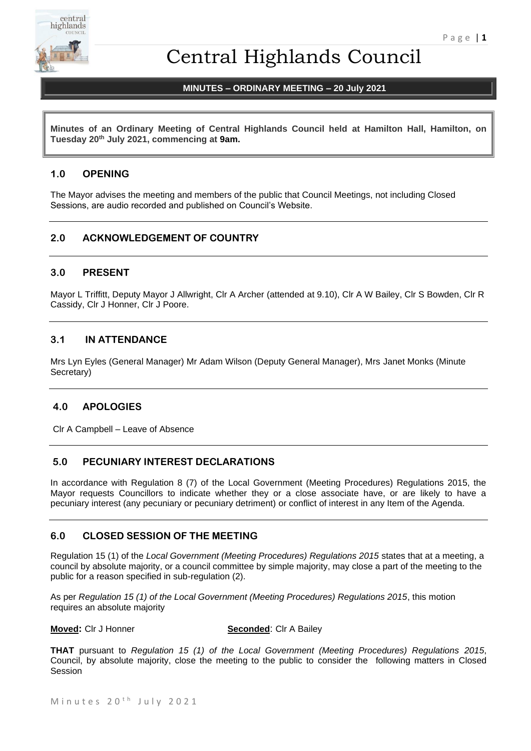

# Central Highlands Council

# **MINUTES – ORDINARY MEETING – 20 July 2021**

**Minutes of an Ordinary Meeting of Central Highlands Council held at Hamilton Hall, Hamilton, on Tuesday 20th July 2021, commencing at 9am.**

# **1.0 OPENING**

The Mayor advises the meeting and members of the public that Council Meetings, not including Closed Sessions, are audio recorded and published on Council's Website.

# **2.0 ACKNOWLEDGEMENT OF COUNTRY**

# **3.0 PRESENT**

Mayor L Triffitt, Deputy Mayor J Allwright, Clr A Archer (attended at 9.10), Clr A W Bailey, Clr S Bowden, Clr R Cassidy, Clr J Honner, Clr J Poore.

# **3.1 IN ATTENDANCE**

Mrs Lyn Eyles (General Manager) Mr Adam Wilson (Deputy General Manager), Mrs Janet Monks (Minute Secretary)

# **4.0 APOLOGIES**

Clr A Campbell – Leave of Absence

# **5.0 PECUNIARY INTEREST DECLARATIONS**

In accordance with Regulation 8 (7) of the Local Government (Meeting Procedures) Regulations 2015, the Mayor requests Councillors to indicate whether they or a close associate have, or are likely to have a pecuniary interest (any pecuniary or pecuniary detriment) or conflict of interest in any Item of the Agenda.

#### **6.0 CLOSED SESSION OF THE MEETING**

Regulation 15 (1) of the *Local Government (Meeting Procedures) Regulations 2015* states that at a meeting, a council by absolute majority, or a council committee by simple majority, may close a part of the meeting to the public for a reason specified in sub-regulation (2).

As per *Regulation 15 (1) of the Local Government (Meeting Procedures) Regulations 2015*, this motion requires an absolute majority

#### **Moved:** Cir J Honner **Seconded:** Cir A Bailey

**THAT** pursuant to *Regulation 15 (1) of the Local Government (Meeting Procedures) Regulations 2015*, Council, by absolute majority, close the meeting to the public to consider the following matters in Closed Session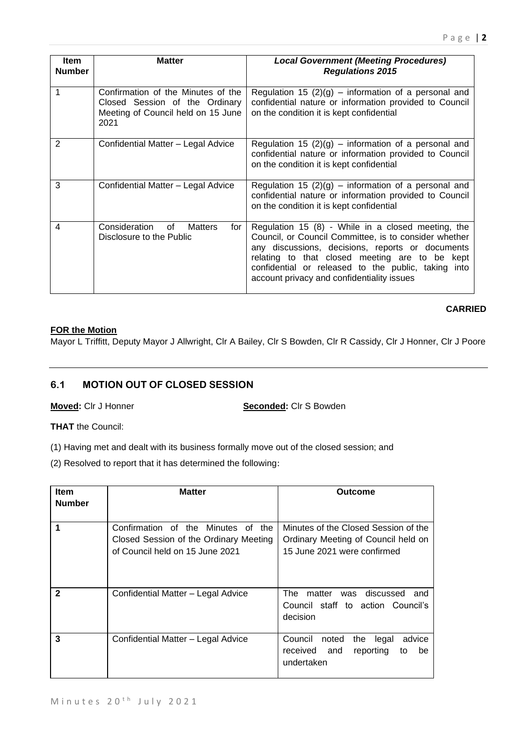| <b>Item</b><br><b>Number</b> | <b>Matter</b>                                                                                                      | <b>Local Government (Meeting Procedures)</b><br><b>Regulations 2015</b>                                                                                                                                                                                                                                                |
|------------------------------|--------------------------------------------------------------------------------------------------------------------|------------------------------------------------------------------------------------------------------------------------------------------------------------------------------------------------------------------------------------------------------------------------------------------------------------------------|
|                              | Confirmation of the Minutes of the<br>Closed Session of the Ordinary<br>Meeting of Council held on 15 June<br>2021 | Regulation 15 $(2)(g)$ – information of a personal and<br>confidential nature or information provided to Council<br>on the condition it is kept confidential                                                                                                                                                           |
| 2                            | Confidential Matter - Legal Advice                                                                                 | Regulation 15 $(2)(g)$ – information of a personal and<br>confidential nature or information provided to Council<br>on the condition it is kept confidential                                                                                                                                                           |
| 3                            | Confidential Matter - Legal Advice                                                                                 | Regulation 15 $(2)(g)$ – information of a personal and<br>confidential nature or information provided to Council<br>on the condition it is kept confidential                                                                                                                                                           |
| 4                            | Consideration of Matters<br>for<br>Disclosure to the Public                                                        | Regulation 15 (8) - While in a closed meeting, the<br>Council, or Council Committee, is to consider whether<br>any discussions, decisions, reports or documents<br>relating to that closed meeting are to be kept<br>confidential or released to the public, taking into<br>account privacy and confidentiality issues |

# **FOR the Motion**

Mayor L Triffitt, Deputy Mayor J Allwright, Clr A Bailey, Clr S Bowden, Clr R Cassidy, Clr J Honner, Clr J Poore

# **6.1 MOTION OUT OF CLOSED SESSION**

**Moved:** Clr J Honner **Seconded:** Clr S Bowden

**THAT** the Council:

(1) Having met and dealt with its business formally move out of the closed session; and

(2) Resolved to report that it has determined the following:

| <b>Item</b>   | <b>Matter</b>                                                                                                   | Outcome                                                                                                    |
|---------------|-----------------------------------------------------------------------------------------------------------------|------------------------------------------------------------------------------------------------------------|
| <b>Number</b> |                                                                                                                 |                                                                                                            |
|               | Confirmation of the Minutes of the<br>Closed Session of the Ordinary Meeting<br>of Council held on 15 June 2021 | Minutes of the Closed Session of the<br>Ordinary Meeting of Council held on<br>15 June 2021 were confirmed |
| $\mathbf{2}$  | Confidential Matter - Legal Advice                                                                              | matter<br>was discussed<br>The<br>and<br>Council staff to action Council's<br>decision                     |
| 3             | Confidential Matter - Legal Advice                                                                              | Council<br>noted<br>legal<br>the<br>advice<br>and<br>reporting<br>received<br>be<br>to<br>undertaken       |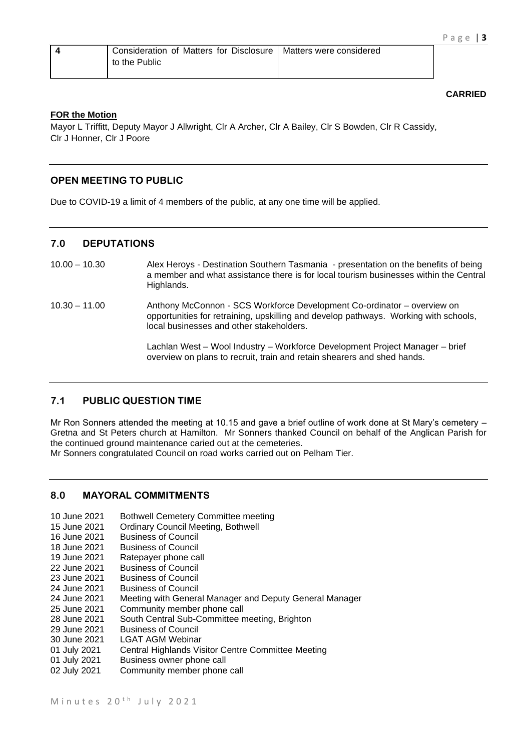| Consideration of Matters for Disclosure   Matters were considered |  |
|-------------------------------------------------------------------|--|
| to the Public                                                     |  |

#### **FOR the Motion**

Mayor L Triffitt, Deputy Mayor J Allwright, Clr A Archer, Clr A Bailey, Clr S Bowden, Clr R Cassidy, Clr J Honner, Clr J Poore

# **OPEN MEETING TO PUBLIC**

Due to COVID-19 a limit of 4 members of the public, at any one time will be applied.

# **7.0 DEPUTATIONS**

- 10.00 10.30 Alex Heroys Destination Southern Tasmania presentation on the benefits of being a member and what assistance there is for local tourism businesses within the Central Highlands.
- 10.30 11.00 Anthony McConnon SCS Workforce Development Co-ordinator overview on opportunities for retraining, upskilling and develop pathways. Working with schools, local businesses and other stakeholders.

Lachlan West – Wool Industry – Workforce Development Project Manager – brief overview on plans to recruit, train and retain shearers and shed hands.

#### **7.1 PUBLIC QUESTION TIME**

Mr Ron Sonners attended the meeting at 10.15 and gave a brief outline of work done at St Mary's cemetery – Gretna and St Peters church at Hamilton. Mr Sonners thanked Council on behalf of the Anglican Parish for the continued ground maintenance caried out at the cemeteries.

Mr Sonners congratulated Council on road works carried out on Pelham Tier.

# **8.0 MAYORAL COMMITMENTS**

- 10 June 2021 Bothwell Cemetery Committee meeting
- 15 June 2021 Ordinary Council Meeting, Bothwell<br>16 June 2021 Business of Council
- **Business of Council**
- 18 June 2021 Business of Council
- 19 June 2021 Ratepayer phone call
- 22 June 2021 Business of Council
- 23 June 2021 Business of Council
- 24 June 2021 Business of Council
- 24 June 2021 Meeting with General Manager and Deputy General Manager
- 25 June 2021 Community member phone call
- 28 June 2021 South Central Sub-Committee meeting, Brighton<br>29 June 2021 Business of Council
- **Business of Council**
- 30 June 2021 LGAT AGM Webinar
- 01 July 2021 Central Highlands Visitor Centre Committee Meeting
- 01 July 2021 Business owner phone call
- 02 July 2021 Community member phone call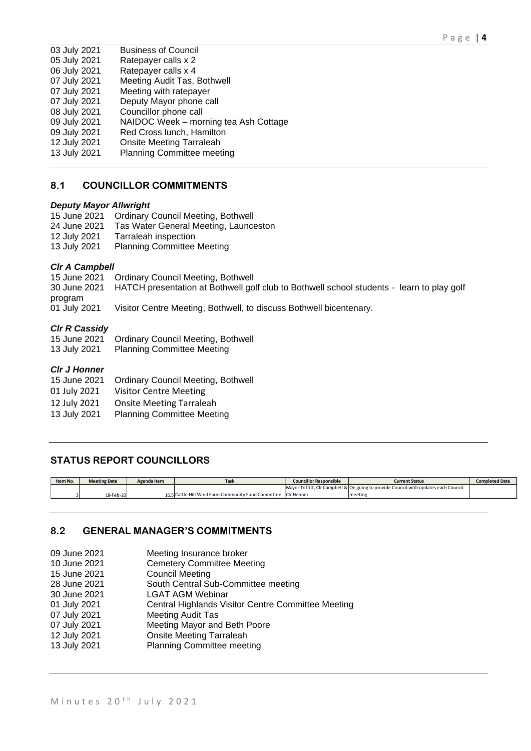| 03 July 2021 | <b>Business of Council</b>            |
|--------------|---------------------------------------|
| 05 July 2021 | Ratepayer calls x 2                   |
| 06 July 2021 | Ratepayer calls x 4                   |
| 07 July 2021 | Meeting Audit Tas, Bothwell           |
| 07 July 2021 | Meeting with ratepayer                |
| 07 July 2021 | Deputy Mayor phone call               |
| 08 July 2021 | Councillor phone call                 |
| 09 July 2021 | NAIDOC Week - morning tea Ash Cottage |
| 09 July 2021 | Red Cross lunch, Hamilton             |
| 12 July 2021 | <b>Onsite Meeting Tarraleah</b>       |
| 13 July 2021 | <b>Planning Committee meeting</b>     |
|              |                                       |

# **8.1 COUNCILLOR COMMITMENTS**

#### *Deputy Mayor Allwright*

15 June 2021 Ordinary Council Meeting, Bothwell

- 24 June 2021 Tas Water General Meeting, Launceston
- 12 July 2021 Tarraleah inspection
- 13 July 2021 Planning Committee Meeting

#### *Clr A Campbell*

15 June 2021 Ordinary Council Meeting, Bothwell

30 June 2021 HATCH presentation at Bothwell golf club to Bothwell school students - learn to play golf program

01 July 2021 Visitor Centre Meeting, Bothwell, to discuss Bothwell bicentenary.

#### *Clr R Cassidy*

15 June 2021 Ordinary Council Meeting, Bothwell<br>13 July 2021 Planning Committee Meeting Planning Committee Meeting

#### *Clr J Honner*

- 15 June 2021 Ordinary Council Meeting, Bothwell
- 01 July 2021 Visitor Centre Meeting
- 
- 12 July 2021 Onsite Meeting Tarraleah<br>13 July 2021 Planning Committee Meet Planning Committee Meeting

# **STATUS REPORT COUNCILLORS**

| Item No. | <b>Meeting Date</b> | Agenda Item | <b>Task</b>                                                    | <b>Councillor Responsible</b> | <b>Current Status</b>                                                                | <b>Completed Date</b> |
|----------|---------------------|-------------|----------------------------------------------------------------|-------------------------------|--------------------------------------------------------------------------------------|-----------------------|
|          |                     |             |                                                                |                               | Mayor Triffitt, Clr Campbell & On going to provide Council with updates each Council |                       |
|          | 18-Feb-20           |             | 16.5 Cattle Hill Wind Farm Community Fund Committee Clr Honner |                               | meeting                                                                              |                       |

#### **8.2 GENERAL MANAGER'S COMMITMENTS**

- 09 June 2021 Meeting Insurance broker
- 10 June 2021 Cemetery Committee Meeting
- 15 June 2021 Council Meeting
- 28 June 2021 South Central Sub-Committee meeting

30 June 2021 LGAT AGM Webinar

- 01 July 2021 Central Highlands Visitor Centre Committee Meeting<br>07 July 2021 Meeting Audit Tas
- **Meeting Audit Tas**
- 07 July 2021 Meeting Mayor and Beth Poore
- 12 July 2021 Onsite Meeting Tarraleah
- 13 July 2021 Planning Committee meeting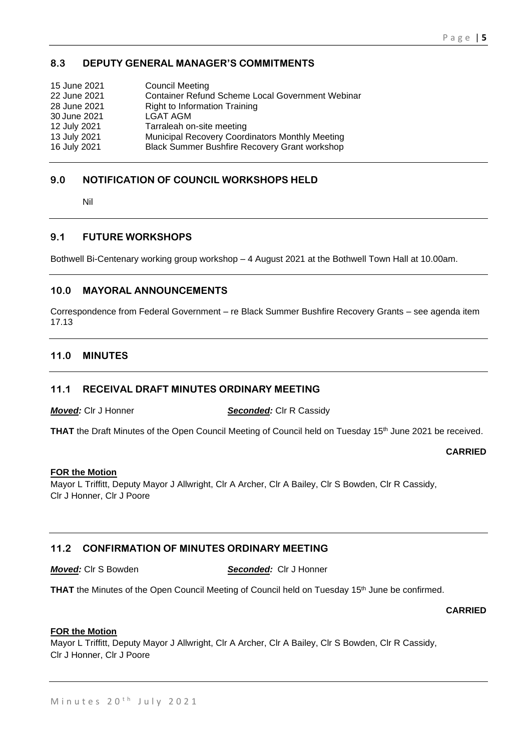# **8.3 DEPUTY GENERAL MANAGER'S COMMITMENTS**

| 15 June 2021 | <b>Council Meeting</b>                                  |
|--------------|---------------------------------------------------------|
| 22 June 2021 | <b>Container Refund Scheme Local Government Webinar</b> |
| 28 June 2021 | <b>Right to Information Training</b>                    |
| 30 June 2021 | <b>LGAT AGM</b>                                         |
| 12 July 2021 | Tarraleah on-site meeting                               |
| 13 July 2021 | Municipal Recovery Coordinators Monthly Meeting         |
| 16 July 2021 | <b>Black Summer Bushfire Recovery Grant workshop</b>    |

# **9.0 NOTIFICATION OF COUNCIL WORKSHOPS HELD**

Nil

# **9.1 FUTURE WORKSHOPS**

Bothwell Bi-Centenary working group workshop – 4 August 2021 at the Bothwell Town Hall at 10.00am.

# **10.0 MAYORAL ANNOUNCEMENTS**

Correspondence from Federal Government – re Black Summer Bushfire Recovery Grants – see agenda item 17.13

# **11.0 MINUTES**

# **11.1 RECEIVAL DRAFT MINUTES ORDINARY MEETING**

*Moved:* Clr J Honner *Seconded:* Clr R Cassidy

**THAT** the Draft Minutes of the Open Council Meeting of Council held on Tuesday 15<sup>th</sup> June 2021 be received.

#### **CARRIED**

#### **FOR the Motion**

Mayor L Triffitt, Deputy Mayor J Allwright, Clr A Archer, Clr A Bailey, Clr S Bowden, Clr R Cassidy, Clr J Honner, Clr J Poore

# **11.2 CONFIRMATION OF MINUTES ORDINARY MEETING**

*Moved:* Clr S Bowden *Seconded:* Clr J Honner

THAT the Minutes of the Open Council Meeting of Council held on Tuesday 15<sup>th</sup> June be confirmed.

#### **CARRIED**

# **FOR the Motion**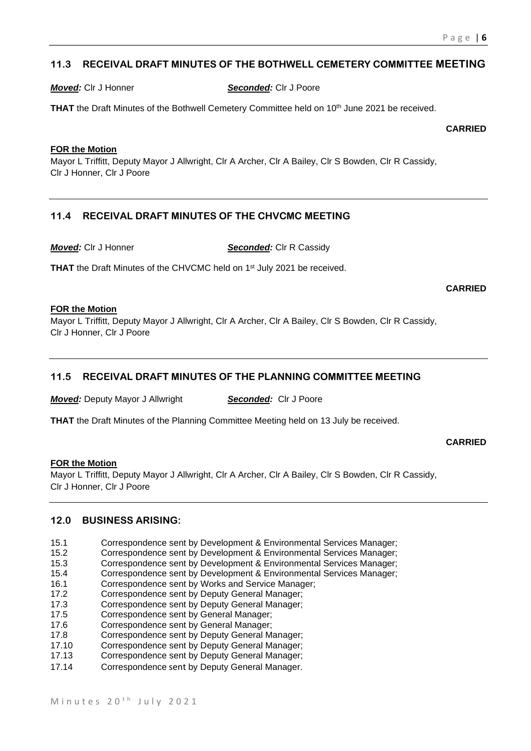# **11.3 RECEIVAL DRAFT MINUTES OF THE BOTHWELL CEMETERY COMMITTEE MEETING**

*Moved:* Clr J Honner *Seconded:* Clr J Poore

**THAT** the Draft Minutes of the Bothwell Cemetery Committee held on 10<sup>th</sup> June 2021 be received.

**CARRIED**

#### **FOR the Motion**

Mayor L Triffitt, Deputy Mayor J Allwright, Clr A Archer, Clr A Bailey, Clr S Bowden, Clr R Cassidy, Clr J Honner, Clr J Poore

# **11.4 RECEIVAL DRAFT MINUTES OF THE CHVCMC MEETING**

*Moved:* Clr J Honner *Seconded:* Clr R Cassidy

THAT the Draft Minutes of the CHVCMC held on 1<sup>st</sup> July 2021 be received.

**CARRIED**

#### **FOR the Motion**

Mayor L Triffitt, Deputy Mayor J Allwright, Clr A Archer, Clr A Bailey, Clr S Bowden, Clr R Cassidy, Clr J Honner, Clr J Poore

# **11.5 RECEIVAL DRAFT MINUTES OF THE PLANNING COMMITTEE MEETING**

*Moved:* Deputy Mayor J Allwright *Seconded:* Clr J Poore

**THAT** the Draft Minutes of the Planning Committee Meeting held on 13 July be received.

#### **CARRIED**

#### **FOR the Motion**

Mayor L Triffitt, Deputy Mayor J Allwright, Clr A Archer, Clr A Bailey, Clr S Bowden, Clr R Cassidy, Clr J Honner, Clr J Poore

#### **12.0 BUSINESS ARISING:**

- 15.1 Correspondence sent by Development & Environmental Services Manager;
- 15.2 Correspondence sent by Development & Environmental Services Manager;
- 15.3 Correspondence sent by Development & Environmental Services Manager;
- 15.4 Correspondence sent by Development & Environmental Services Manager;
- 16.1 Correspondence sent by Works and Service Manager;
- 17.2 Correspondence sent by Deputy General Manager;
- 17.3 Correspondence sent by Deputy General Manager;
- 17.5 Correspondence sent by General Manager;
- 17.6 Correspondence sent by General Manager;
- 17.8 Correspondence sent by Deputy General Manager;
- 17.10 Correspondence sent by Deputy General Manager;
- 17.13 Correspondence sent by Deputy General Manager;
- 17.14 Correspondence sent by Deputy General Manager.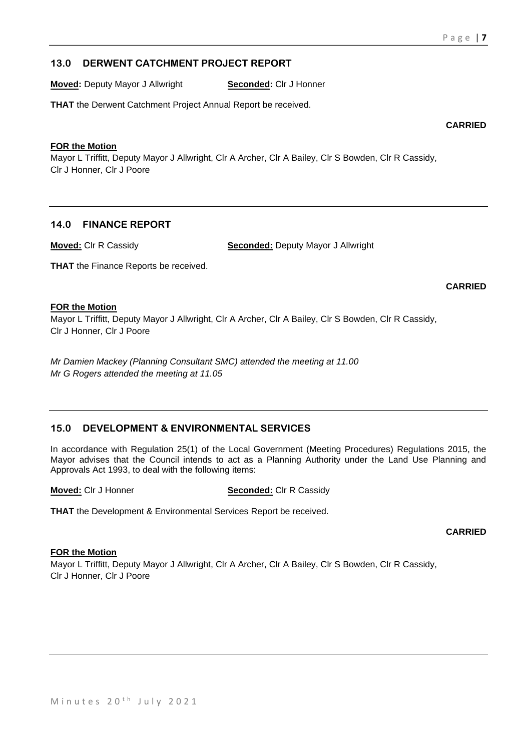# **13.0 DERWENT CATCHMENT PROJECT REPORT**

**Moved:** Deputy Mayor J Allwright **Seconded:** Clr J Honner

**THAT** the Derwent Catchment Project Annual Report be received.

#### **FOR the Motion**

Mayor L Triffitt, Deputy Mayor J Allwright, Clr A Archer, Clr A Bailey, Clr S Bowden, Clr R Cassidy, Clr J Honner, Clr J Poore

# **14.0 FINANCE REPORT**

**Moved:** Clr R Cassidy **Seconded:** Deputy Mayor J Allwright

**THAT** the Finance Reports be received.

#### **CARRIED**

#### **FOR the Motion**

Mayor L Triffitt, Deputy Mayor J Allwright, Clr A Archer, Clr A Bailey, Clr S Bowden, Clr R Cassidy, Clr J Honner, Clr J Poore

*Mr Damien Mackey (Planning Consultant SMC) attended the meeting at 11.00 Mr G Rogers attended the meeting at 11.05*

# **15.0 DEVELOPMENT & ENVIRONMENTAL SERVICES**

In accordance with Regulation 25(1) of the Local Government (Meeting Procedures) Regulations 2015, the Mayor advises that the Council intends to act as a Planning Authority under the Land Use Planning and Approvals Act 1993, to deal with the following items:

**Moved:** Clr J Honner **Seconded:** Clr R Cassidy

**THAT** the Development & Environmental Services Report be received.

**CARRIED**

## **FOR the Motion**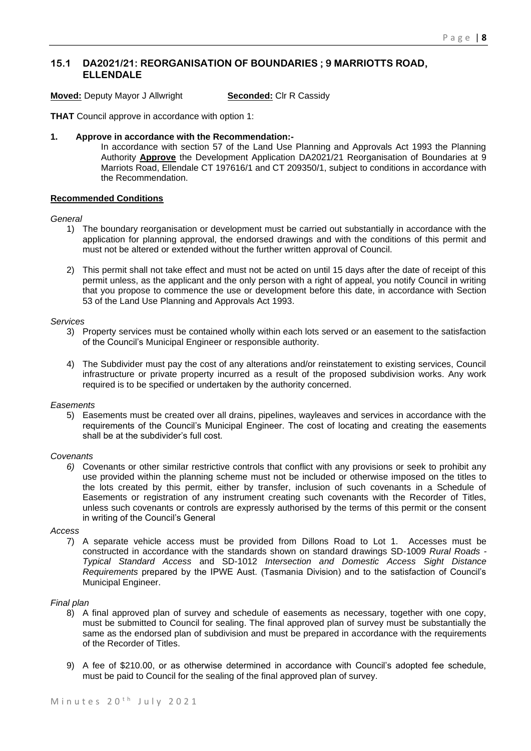# **15.1 DA2021/21: REORGANISATION OF BOUNDARIES ; 9 MARRIOTTS ROAD, ELLENDALE**

**Moved:** Deputy Mayor J Allwright **Seconded:** Clr R Cassidy

**THAT** Council approve in accordance with option 1:

#### **1. Approve in accordance with the Recommendation:-**

In accordance with section 57 of the Land Use Planning and Approvals Act 1993 the Planning Authority **Approve** the Development Application DA2021/21 Reorganisation of Boundaries at 9 Marriots Road, Ellendale CT 197616/1 and CT 209350/1, subject to conditions in accordance with the Recommendation.

#### **Recommended Conditions**

#### *General*

- 1) The boundary reorganisation or development must be carried out substantially in accordance with the application for planning approval, the endorsed drawings and with the conditions of this permit and must not be altered or extended without the further written approval of Council.
- 2) This permit shall not take effect and must not be acted on until 15 days after the date of receipt of this permit unless, as the applicant and the only person with a right of appeal, you notify Council in writing that you propose to commence the use or development before this date, in accordance with Section 53 of the Land Use Planning and Approvals Act 1993.

#### *Services*

- 3) Property services must be contained wholly within each lots served or an easement to the satisfaction of the Council's Municipal Engineer or responsible authority.
- 4) The Subdivider must pay the cost of any alterations and/or reinstatement to existing services, Council infrastructure or private property incurred as a result of the proposed subdivision works. Any work required is to be specified or undertaken by the authority concerned.

#### *Easements*

5) Easements must be created over all drains, pipelines, wayleaves and services in accordance with the requirements of the Council's Municipal Engineer. The cost of locating and creating the easements shall be at the subdivider's full cost.

#### *Covenants*

*6)* Covenants or other similar restrictive controls that conflict with any provisions or seek to prohibit any use provided within the planning scheme must not be included or otherwise imposed on the titles to the lots created by this permit, either by transfer, inclusion of such covenants in a Schedule of Easements or registration of any instrument creating such covenants with the Recorder of Titles, unless such covenants or controls are expressly authorised by the terms of this permit or the consent in writing of the Council's General

#### *Access*

7) A separate vehicle access must be provided from Dillons Road to Lot 1. Accesses must be constructed in accordance with the standards shown on standard drawings SD-1009 *Rural Roads - Typical Standard Access* and SD-1012 *Intersection and Domestic Access Sight Distance Requirements* prepared by the IPWE Aust. (Tasmania Division) and to the satisfaction of Council's Municipal Engineer.

#### *Final plan*

- 8) A final approved plan of survey and schedule of easements as necessary, together with one copy, must be submitted to Council for sealing. The final approved plan of survey must be substantially the same as the endorsed plan of subdivision and must be prepared in accordance with the requirements of the Recorder of Titles.
- 9) A fee of \$210.00, or as otherwise determined in accordance with Council's adopted fee schedule, must be paid to Council for the sealing of the final approved plan of survey.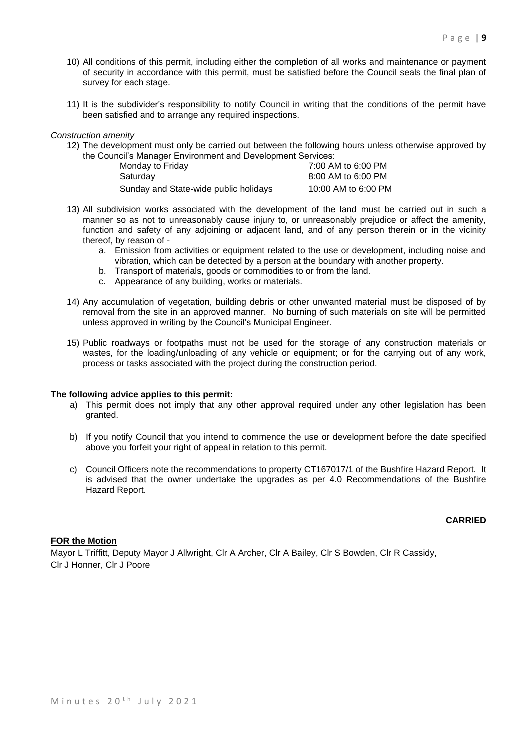- 10) All conditions of this permit, including either the completion of all works and maintenance or payment of security in accordance with this permit, must be satisfied before the Council seals the final plan of survey for each stage.
- 11) It is the subdivider's responsibility to notify Council in writing that the conditions of the permit have been satisfied and to arrange any required inspections.

#### *Construction amenity*

12) The development must only be carried out between the following hours unless otherwise approved by the Council's Manager Environment and Development Services:

| Monday to Friday                      | 7:00 AM to 6:00 PM  |
|---------------------------------------|---------------------|
| Saturday                              | 8:00 AM to 6:00 PM  |
| Sunday and State-wide public holidays | 10:00 AM to 6:00 PM |

- 13) All subdivision works associated with the development of the land must be carried out in such a manner so as not to unreasonably cause injury to, or unreasonably prejudice or affect the amenity, function and safety of any adjoining or adjacent land, and of any person therein or in the vicinity thereof, by reason of
	- a. Emission from activities or equipment related to the use or development, including noise and vibration, which can be detected by a person at the boundary with another property.
	- b. Transport of materials, goods or commodities to or from the land.
	- c. Appearance of any building, works or materials.
- 14) Any accumulation of vegetation, building debris or other unwanted material must be disposed of by removal from the site in an approved manner. No burning of such materials on site will be permitted unless approved in writing by the Council's Municipal Engineer.
- 15) Public roadways or footpaths must not be used for the storage of any construction materials or wastes, for the loading/unloading of any vehicle or equipment; or for the carrying out of any work, process or tasks associated with the project during the construction period.

#### **The following advice applies to this permit:**

- a) This permit does not imply that any other approval required under any other legislation has been granted.
- b) If you notify Council that you intend to commence the use or development before the date specified above you forfeit your right of appeal in relation to this permit.
- c) Council Officers note the recommendations to property CT167017/1 of the Bushfire Hazard Report. It is advised that the owner undertake the upgrades as per 4.0 Recommendations of the Bushfire Hazard Report.

#### **CARRIED**

#### **FOR the Motion**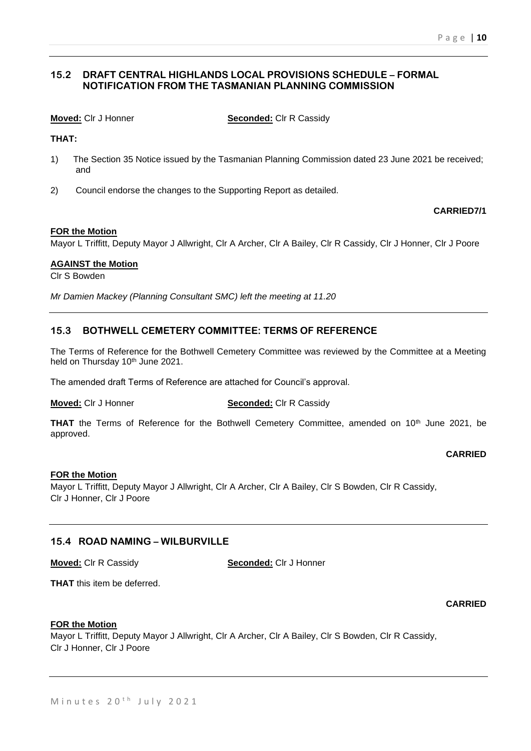# **15.2 DRAFT CENTRAL HIGHLANDS LOCAL PROVISIONS SCHEDULE – FORMAL NOTIFICATION FROM THE TASMANIAN PLANNING COMMISSION**

**Moved:** Clr J Honner **Seconded:** Clr R Cassidy

**THAT:**

- 1) The Section 35 Notice issued by the Tasmanian Planning Commission dated 23 June 2021 be received; and
- 2) Council endorse the changes to the Supporting Report as detailed.

#### **CARRIED7/1**

#### **FOR the Motion**

Mayor L Triffitt, Deputy Mayor J Allwright, Clr A Archer, Clr A Bailey, Clr R Cassidy, Clr J Honner, Clr J Poore

#### **AGAINST the Motion**

Clr S Bowden

*Mr Damien Mackey (Planning Consultant SMC) left the meeting at 11.20*

# **15.3 BOTHWELL CEMETERY COMMITTEE: TERMS OF REFERENCE**

The Terms of Reference for the Bothwell Cemetery Committee was reviewed by the Committee at a Meeting held on Thursday 10<sup>th</sup> June 2021.

The amended draft Terms of Reference are attached for Council's approval.

#### **Moved:** Clr J Honner **Seconded:** Clr R Cassidy

THAT the Terms of Reference for the Bothwell Cemetery Committee, amended on 10<sup>th</sup> June 2021, be approved.

# **CARRIED**

#### **FOR the Motion**

Mayor L Triffitt, Deputy Mayor J Allwright, Clr A Archer, Clr A Bailey, Clr S Bowden, Clr R Cassidy, Clr J Honner, Clr J Poore

#### **15.4 ROAD NAMING – WILBURVILLE**

**Moved:** Clr R Cassidy **Seconded:** Clr J Honner

**THAT** this item be deferred.

#### **CARRIED**

#### **FOR the Motion**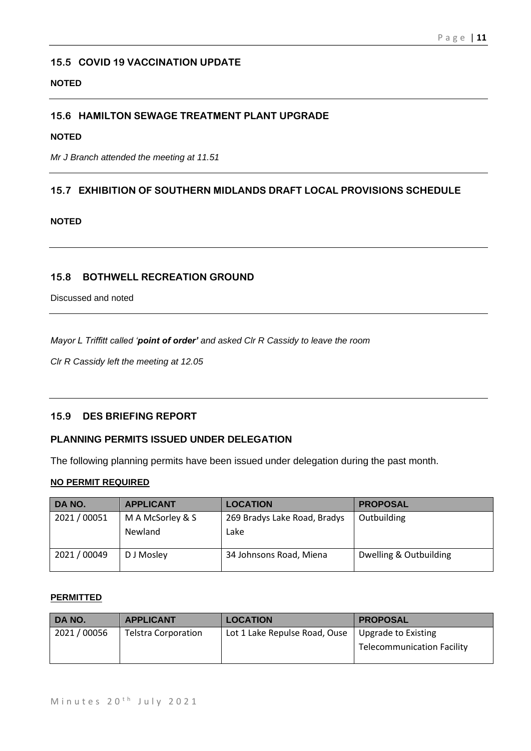# **15.5 COVID 19 VACCINATION UPDATE**

#### **NOTED**

# **15.6 HAMILTON SEWAGE TREATMENT PLANT UPGRADE**

# **NOTED**

*Mr J Branch attended the meeting at 11.51*

# **15.7 EXHIBITION OF SOUTHERN MIDLANDS DRAFT LOCAL PROVISIONS SCHEDULE**

# **NOTED**

# **15.8 BOTHWELL RECREATION GROUND**

Discussed and noted

*Mayor L Triffitt called 'point of order' and asked Clr R Cassidy to leave the room* 

*Clr R Cassidy left the meeting at 12.05*

### **15.9 DES BRIEFING REPORT**

# **PLANNING PERMITS ISSUED UNDER DELEGATION**

The following planning permits have been issued under delegation during the past month.

# **NO PERMIT REQUIRED**

| DA NO.       | <b>APPLICANT</b> | <b>LOCATION</b>              | <b>PROPOSAL</b>        |
|--------------|------------------|------------------------------|------------------------|
| 2021/00051   | M A McSorley & S | 269 Bradys Lake Road, Bradys | Outbuilding            |
|              | Newland          | Lake                         |                        |
| 2021 / 00049 | D J Mosley       | 34 Johnsons Road, Miena      | Dwelling & Outbuilding |

#### **PERMITTED**

| DA NO.     | <b>APPLICANT</b>           | <b>LOCATION</b>               | <b>PROPOSAL</b>                   |
|------------|----------------------------|-------------------------------|-----------------------------------|
| 2021/00056 | <b>Telstra Corporation</b> | Lot 1 Lake Repulse Road, Ouse | Upgrade to Existing               |
|            |                            |                               | <b>Telecommunication Facility</b> |
|            |                            |                               |                                   |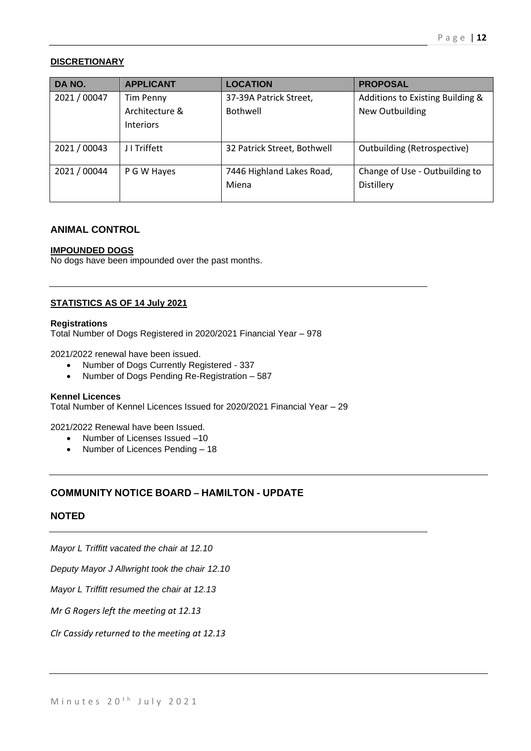# **DISCRETIONARY**

| DA NO.       | <b>APPLICANT</b> | <b>LOCATION</b>             | <b>PROPOSAL</b>                    |
|--------------|------------------|-----------------------------|------------------------------------|
| 2021 / 00047 | <b>Tim Penny</b> | 37-39A Patrick Street,      | Additions to Existing Building &   |
|              | Architecture &   | Bothwell                    | New Outbuilding                    |
|              | <b>Interiors</b> |                             |                                    |
|              |                  |                             |                                    |
| 2021 / 00043 | J I Triffett     | 32 Patrick Street, Bothwell | <b>Outbuilding (Retrospective)</b> |
| 2021 / 00044 | P G W Hayes      | 7446 Highland Lakes Road,   | Change of Use - Outbuilding to     |
|              |                  | Miena                       | Distillery                         |
|              |                  |                             |                                    |

# **ANIMAL CONTROL**

#### **IMPOUNDED DOGS**

No dogs have been impounded over the past months.

#### **STATISTICS AS OF 14 July 2021**

#### **Registrations**

Total Number of Dogs Registered in 2020/2021 Financial Year – 978

2021/2022 renewal have been issued.

- Number of Dogs Currently Registered 337
- Number of Dogs Pending Re-Registration 587

#### **Kennel Licences**

Total Number of Kennel Licences Issued for 2020/2021 Financial Year – 29

#### 2021/2022 Renewal have been Issued.

- Number of Licenses Issued –10
- Number of Licences Pending 18

# **COMMUNITY NOTICE BOARD – HAMILTON - UPDATE**

## **NOTED**

*Mayor L Triffitt vacated the chair at 12.10*

*Deputy Mayor J Allwright took the chair 12.10*

*Mayor L Triffitt resumed the chair at 12.13*

*Mr G Rogers left the meeting at 12.13* 

*Clr Cassidy returned to the meeting at 12.13*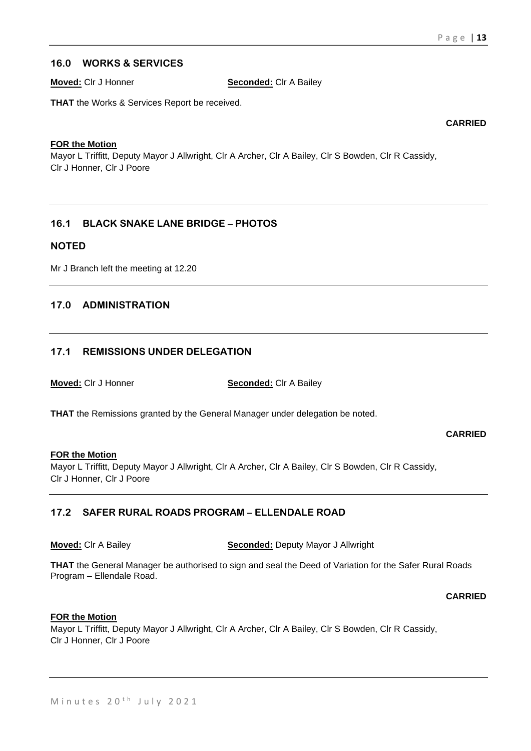# **16.0 WORKS & SERVICES**

**Moved:** Clr J Honner **Seconded:** Clr A Bailey

**THAT** the Works & Services Report be received.

**CARRIED**

#### **FOR the Motion**

Mayor L Triffitt, Deputy Mayor J Allwright, Clr A Archer, Clr A Bailey, Clr S Bowden, Clr R Cassidy, Clr J Honner, Clr J Poore

# **16.1 BLACK SNAKE LANE BRIDGE – PHOTOS**

#### **NOTED**

Mr J Branch left the meeting at 12.20

# **17.0 ADMINISTRATION**

# **17.1 REMISSIONS UNDER DELEGATION**

**Moved:** Clr J Honner **Seconded:** Clr A Bailey

**THAT** the Remissions granted by the General Manager under delegation be noted.

**CARRIED**

#### **FOR the Motion**

Mayor L Triffitt, Deputy Mayor J Allwright, Clr A Archer, Clr A Bailey, Clr S Bowden, Clr R Cassidy, Clr J Honner, Clr J Poore

# **17.2 SAFER RURAL ROADS PROGRAM – ELLENDALE ROAD**

**Moved:** Clr A Bailey **Seconded:** Deputy Mayor J Allwright

**THAT** the General Manager be authorised to sign and seal the Deed of Variation for the Safer Rural Roads Program – Ellendale Road.

**CARRIED**

#### **FOR the Motion**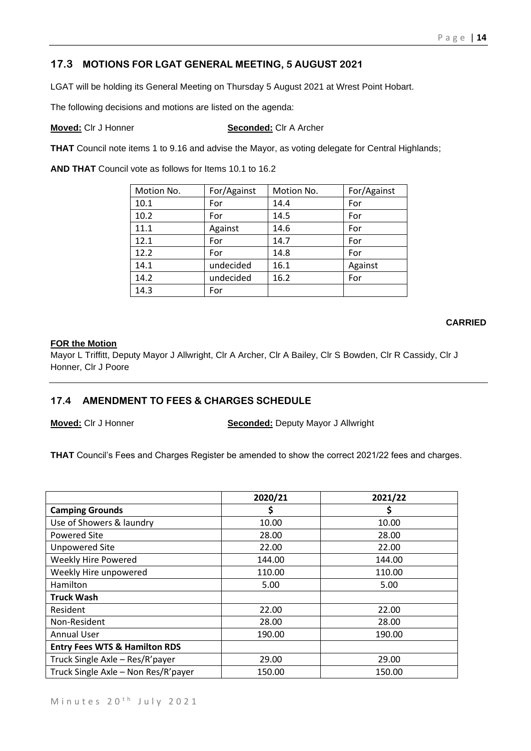# **17.3 MOTIONS FOR LGAT GENERAL MEETING, 5 AUGUST 2021**

LGAT will be holding its General Meeting on Thursday 5 August 2021 at Wrest Point Hobart.

The following decisions and motions are listed on the agenda:

**Moved:** Clr J Honner **Seconded:** Clr A Archer

**THAT** Council note items 1 to 9.16 and advise the Mayor, as voting delegate for Central Highlands;

**AND THAT** Council vote as follows for Items 10.1 to 16.2

| Motion No. | For/Against | Motion No. | For/Against |
|------------|-------------|------------|-------------|
| 10.1       | For         | 14.4       | For         |
| 10.2       | For         | 14.5       | For         |
| 11.1       | Against     | 14.6       | For         |
| 12.1       | For         | 14.7       | For         |
| 12.2       | For         | 14.8       | For         |
| 14.1       | undecided   | 16.1       | Against     |
| 14.2       | undecided   | 16.2       | For         |
| 14.3       | For         |            |             |

# **CARRIED**

#### **FOR the Motion**

Mayor L Triffitt, Deputy Mayor J Allwright, Clr A Archer, Clr A Bailey, Clr S Bowden, Clr R Cassidy, Clr J Honner, Clr J Poore

# **17.4 AMENDMENT TO FEES & CHARGES SCHEDULE**

**Moved:** Clr J Honner **Seconded:** Deputy Mayor J Allwright

**THAT** Council's Fees and Charges Register be amended to show the correct 2021/22 fees and charges.

|                                          | 2020/21 | 2021/22 |
|------------------------------------------|---------|---------|
| <b>Camping Grounds</b>                   | \$      | Ş       |
| Use of Showers & laundry                 | 10.00   | 10.00   |
| Powered Site                             | 28.00   | 28.00   |
| <b>Unpowered Site</b>                    | 22.00   | 22.00   |
| Weekly Hire Powered                      | 144.00  | 144.00  |
| Weekly Hire unpowered                    | 110.00  | 110.00  |
| Hamilton                                 | 5.00    | 5.00    |
| <b>Truck Wash</b>                        |         |         |
| Resident                                 | 22.00   | 22.00   |
| Non-Resident                             | 28.00   | 28.00   |
| <b>Annual User</b>                       | 190.00  | 190.00  |
| <b>Entry Fees WTS &amp; Hamilton RDS</b> |         |         |
| Truck Single Axle - Res/R'payer          | 29.00   | 29.00   |
| Truck Single Axle - Non Res/R'payer      | 150.00  | 150.00  |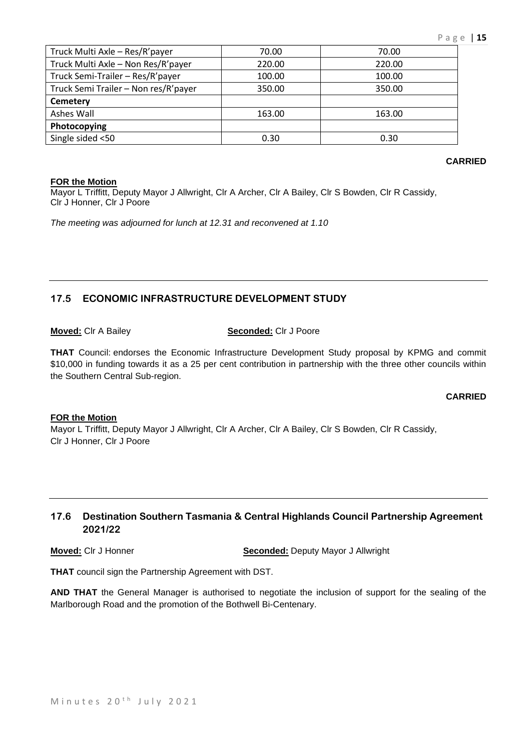| Truck Multi Axle - Res/R'payer       | 70.00  | 70.00  |
|--------------------------------------|--------|--------|
| Truck Multi Axle - Non Res/R'payer   | 220.00 | 220.00 |
| Truck Semi-Trailer - Res/R'payer     | 100.00 | 100.00 |
| Truck Semi Trailer - Non res/R'payer | 350.00 | 350.00 |
| <b>Cemetery</b>                      |        |        |
| Ashes Wall                           | 163.00 | 163.00 |
| Photocopying                         |        |        |
| Single sided <50                     | 0.30   | 0.30   |

#### **FOR the Motion**

Mayor L Triffitt, Deputy Mayor J Allwright, Clr A Archer, Clr A Bailey, Clr S Bowden, Clr R Cassidy, Clr J Honner, Clr J Poore

*The meeting was adjourned for lunch at 12.31 and reconvened at 1.10*

# **17.5 ECONOMIC INFRASTRUCTURE DEVELOPMENT STUDY**

**Moved:** Clr A Bailey **Seconded:** Clr J Poore

**THAT** Council: endorses the Economic Infrastructure Development Study proposal by KPMG and commit \$10,000 in funding towards it as a 25 per cent contribution in partnership with the three other councils within the Southern Central Sub-region.

# **CARRIED**

#### **FOR the Motion**

Mayor L Triffitt, Deputy Mayor J Allwright, Clr A Archer, Clr A Bailey, Clr S Bowden, Clr R Cassidy, Clr J Honner, Clr J Poore

# **17.6 Destination Southern Tasmania & Central Highlands Council Partnership Agreement 2021/22**

**Moved:** Clr J Honner **Seconded:** Deputy Mayor J Allwright

**THAT** council sign the Partnership Agreement with DST.

**AND THAT** the General Manager is authorised to negotiate the inclusion of support for the sealing of the Marlborough Road and the promotion of the Bothwell Bi-Centenary.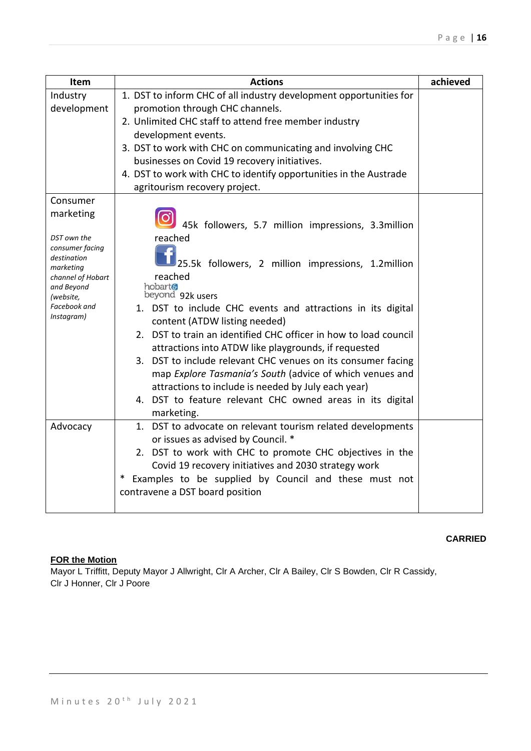| Item                                                                                          | <b>Actions</b>                                                                                                           | achieved |  |
|-----------------------------------------------------------------------------------------------|--------------------------------------------------------------------------------------------------------------------------|----------|--|
| Industry<br>development                                                                       | 1. DST to inform CHC of all industry development opportunities for<br>promotion through CHC channels.                    |          |  |
|                                                                                               | 2. Unlimited CHC staff to attend free member industry                                                                    |          |  |
|                                                                                               | development events.                                                                                                      |          |  |
|                                                                                               | 3. DST to work with CHC on communicating and involving CHC                                                               |          |  |
|                                                                                               | businesses on Covid 19 recovery initiatives.                                                                             |          |  |
|                                                                                               | 4. DST to work with CHC to identify opportunities in the Austrade                                                        |          |  |
|                                                                                               | agritourism recovery project.                                                                                            |          |  |
| Consumer                                                                                      |                                                                                                                          |          |  |
| marketing                                                                                     | 45k followers, 5.7 million impressions, 3.3million                                                                       |          |  |
| DST own the<br>consumer facing<br>destination<br>marketing<br>channel of Hobart<br>and Beyond | reached<br>25.5k followers, 2 million impressions, 1.2million<br>reached<br>hobart®                                      |          |  |
| (website,                                                                                     | beyond 92k users                                                                                                         |          |  |
| Facebook and<br>Instagram)                                                                    | 1. DST to include CHC events and attractions in its digital<br>content (ATDW listing needed)                             |          |  |
|                                                                                               | 2. DST to train an identified CHC officer in how to load council<br>attractions into ATDW like playgrounds, if requested |          |  |
|                                                                                               | 3. DST to include relevant CHC venues on its consumer facing                                                             |          |  |
|                                                                                               | map Explore Tasmania's South (advice of which venues and<br>attractions to include is needed by July each year)          |          |  |
|                                                                                               | 4. DST to feature relevant CHC owned areas in its digital                                                                |          |  |
| Advocacy                                                                                      | marketing.<br>1. DST to advocate on relevant tourism related developments                                                |          |  |
|                                                                                               | or issues as advised by Council. *                                                                                       |          |  |
|                                                                                               | 2. DST to work with CHC to promote CHC objectives in the                                                                 |          |  |
|                                                                                               | Covid 19 recovery initiatives and 2030 strategy work                                                                     |          |  |
|                                                                                               | * Examples to be supplied by Council and these must not<br>contravene a DST board position                               |          |  |

# **FOR the Motion**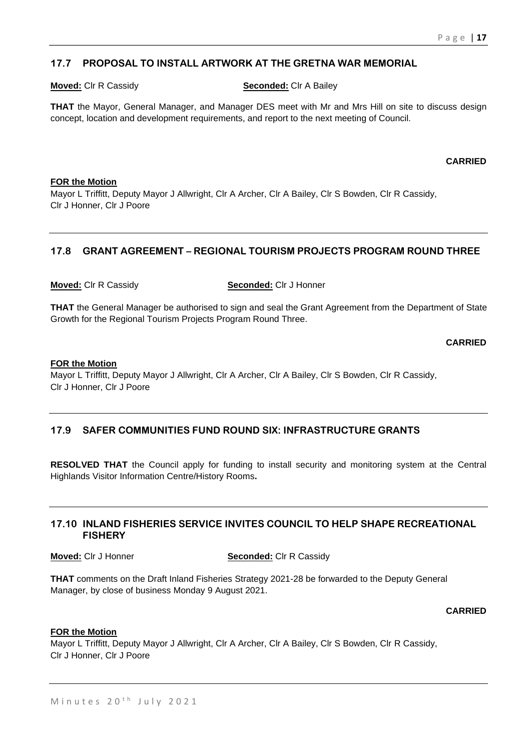# **17.7 PROPOSAL TO INSTALL ARTWORK AT THE GRETNA WAR MEMORIAL**

**Moved:** Clr R Cassidy **Seconded:** Clr A Bailey

**THAT** the Mayor, General Manager, and Manager DES meet with Mr and Mrs Hill on site to discuss design concept, location and development requirements, and report to the next meeting of Council.

**CARRIED**

#### **FOR the Motion**

Mayor L Triffitt, Deputy Mayor J Allwright, Clr A Archer, Clr A Bailey, Clr S Bowden, Clr R Cassidy, Clr J Honner, Clr J Poore

# **17.8 GRANT AGREEMENT – REGIONAL TOURISM PROJECTS PROGRAM ROUND THREE**

**Moved:** Clr R Cassidy **Seconded:** Clr J Honner

**THAT** the General Manager be authorised to sign and seal the Grant Agreement from the Department of State Growth for the Regional Tourism Projects Program Round Three.

**CARRIED**

#### **FOR the Motion**

Mayor L Triffitt, Deputy Mayor J Allwright, Clr A Archer, Clr A Bailey, Clr S Bowden, Clr R Cassidy, Clr J Honner, Clr J Poore

# **17.9 SAFER COMMUNITIES FUND ROUND SIX: INFRASTRUCTURE GRANTS**

**RESOLVED THAT** the Council apply for funding to install security and monitoring system at the Central Highlands Visitor Information Centre/History Rooms**.** 

# **17.10 INLAND FISHERIES SERVICE INVITES COUNCIL TO HELP SHAPE RECREATIONAL FISHERY**

**Moved:** Clr J Honner **Seconded:** Clr R Cassidy

**THAT** comments on the Draft Inland Fisheries Strategy 2021-28 be forwarded to the Deputy General Manager, by close of business Monday 9 August 2021.

**CARRIED**

#### **FOR the Motion**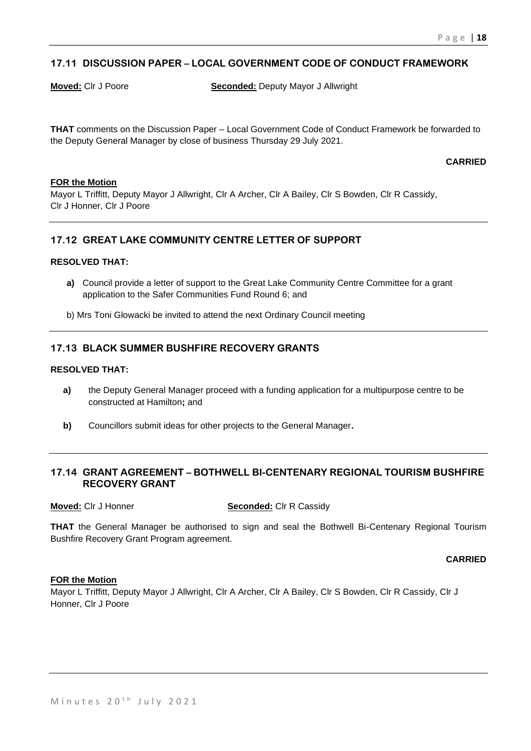# **17.11 DISCUSSION PAPER – LOCAL GOVERNMENT CODE OF CONDUCT FRAMEWORK**

**Moved:** Clr J Poore **Seconded:** Deputy Mayor J Allwright

**THAT** comments on the Discussion Paper – Local Government Code of Conduct Framework be forwarded to the Deputy General Manager by close of business Thursday 29 July 2021.

#### **CARRIED**

#### **FOR the Motion**

Mayor L Triffitt, Deputy Mayor J Allwright, Clr A Archer, Clr A Bailey, Clr S Bowden, Clr R Cassidy, Clr J Honner, Clr J Poore

# **17.12 GREAT LAKE COMMUNITY CENTRE LETTER OF SUPPORT**

#### **RESOLVED THAT:**

- **a)** Council provide a letter of support to the Great Lake Community Centre Committee for a grant application to the Safer Communities Fund Round 6; and
- b) Mrs Toni Glowacki be invited to attend the next Ordinary Council meeting

# **17.13 BLACK SUMMER BUSHFIRE RECOVERY GRANTS**

#### **RESOLVED THAT:**

- **a)** the Deputy General Manager proceed with a funding application for a multipurpose centre to be constructed at Hamilton**;** and
- **b)** Councillors submit ideas for other projects to the General Manager**.**

# **17.14 GRANT AGREEMENT – BOTHWELL BI-CENTENARY REGIONAL TOURISM BUSHFIRE RECOVERY GRANT**

**Moved:** Clr J Honner **Seconded:** Clr R Cassidy

**THAT** the General Manager be authorised to sign and seal the Bothwell Bi-Centenary Regional Tourism Bushfire Recovery Grant Program agreement.

#### **CARRIED**

#### **FOR the Motion**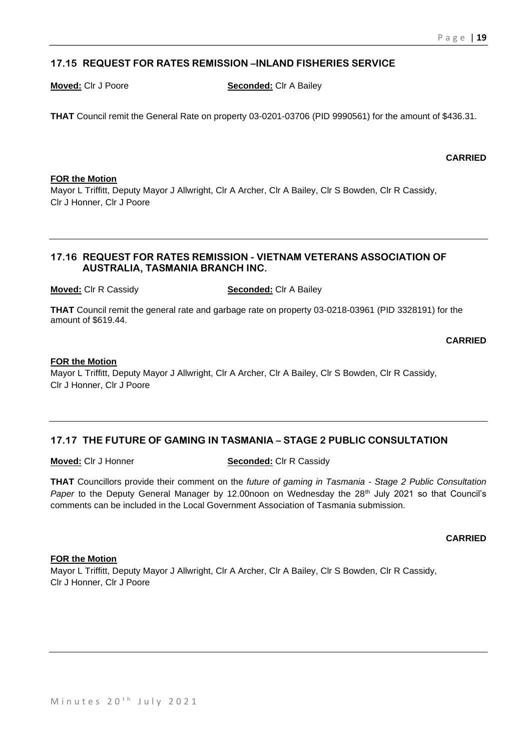# **17.15 REQUEST FOR RATES REMISSION –INLAND FISHERIES SERVICE**

**Moved:** Clr J Poore **Seconded:** Clr A Bailey

**THAT** Council remit the General Rate on property 03-0201-03706 (PID 9990561) for the amount of \$436.31.

# **FOR the Motion**

Mayor L Triffitt, Deputy Mayor J Allwright, Clr A Archer, Clr A Bailey, Clr S Bowden, Clr R Cassidy, Clr J Honner, Clr J Poore

# **17.16 REQUEST FOR RATES REMISSION - VIETNAM VETERANS ASSOCIATION OF AUSTRALIA, TASMANIA BRANCH INC.**

**Moved:** Clr R Cassidy **Seconded:** Clr A Bailey

**THAT** Council remit the general rate and garbage rate on property 03-0218-03961 (PID 3328191) for the amount of \$619.44.

**CARRIED**

#### **FOR the Motion**

Mayor L Triffitt, Deputy Mayor J Allwright, Clr A Archer, Clr A Bailey, Clr S Bowden, Clr R Cassidy, Clr J Honner, Clr J Poore

# **17.17 THE FUTURE OF GAMING IN TASMANIA – STAGE 2 PUBLIC CONSULTATION**

**Moved:** Clr J Honner **Seconded:** Clr R Cassidy

**THAT** Councillors provide their comment on the *future of gaming in Tasmania - Stage 2 Public Consultation Paper* to the Deputy General Manager by 12.00noon on Wednesday the 28<sup>th</sup> July 2021 so that Council's comments can be included in the Local Government Association of Tasmania submission.

#### **CARRIED**

#### **FOR the Motion**